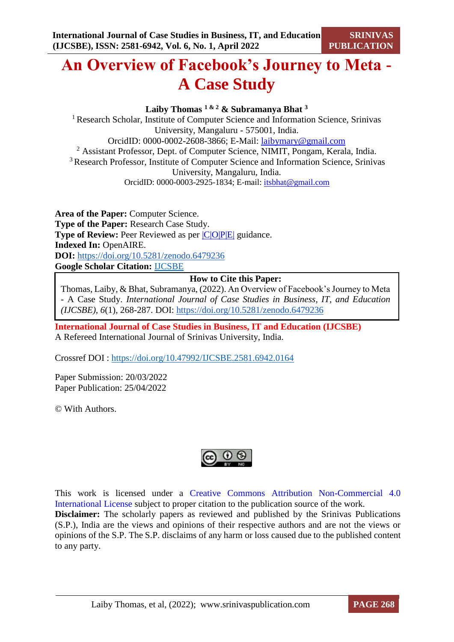# **An Overview of Facebook's Journey to Meta - A Case Study**

**Laiby Thomas 1 & 2 & Subramanya Bhat <sup>3</sup>**

<sup>1</sup> Research Scholar, Institute of Computer Science and Information Science, Srinivas University, Mangaluru - 575001, India. OrcidID: 0000-0002-2608-3866; E-Mail: [laibymary@gmail.com](mailto:laibymary@gmail.com) <sup>2</sup> Assistant Professor, Dept. of Computer Science, NIMIT, Pongam, Kerala, India. <sup>3</sup> Research Professor, Institute of Computer Science and Information Science, Srinivas University, Mangaluru, India. OrcidID: 0000-0003-2925-1834; E-mail: [itsbhat@gmail.com](mailto:itsbhat@gmail.com)

**Area of the Paper:** Computer Science. **Type of the Paper:** Research Case Study. **Type of Review:** Peer Reviewed as per  $|C|O||P|E|$  guidance. **Indexed In:** OpenAIRE. **DOI:** <https://doi.org/10.5281/zenodo.6479236> **Google Scholar Citation:** [IJCSBE](https://scholar.google.com/citations?user=yGYPA1MAAAAJ)

# **How to Cite this Paper:**

Thomas, Laiby, & Bhat, Subramanya, (2022). An Overview of Facebook's Journey to Meta - A Case Study. *International Journal of Case Studies in Business, IT, and Education (IJCSBE), 6*(1), 268-287. DOI: <https://doi.org/10.5281/zenodo.6479236>

**International Journal of Case Studies in Business, IT and Education (IJCSBE)** A Refereed International Journal of Srinivas University, India.

Crossref DOI : [https://doi.org/10.47992/IJCSBE.2581.6942.0164](https://search.crossref.org/?q=10.47992%2FIJCSBE.2581.6942.0164&from_ui=yes)

Paper Submission: 20/03/2022 Paper Publication: 25/04/2022

© With Authors.



This work is licensed under a Creative Commons Attribution Non-Commercial 4.0 International License subject to proper citation to the publication source of the work. **Disclaimer:** The scholarly papers as reviewed and published by the Srinivas Publications (S.P.), India are the views and opinions of their respective authors and are not the views or opinions of the S.P. The S.P. disclaims of any harm or loss caused due to the published content to any party.

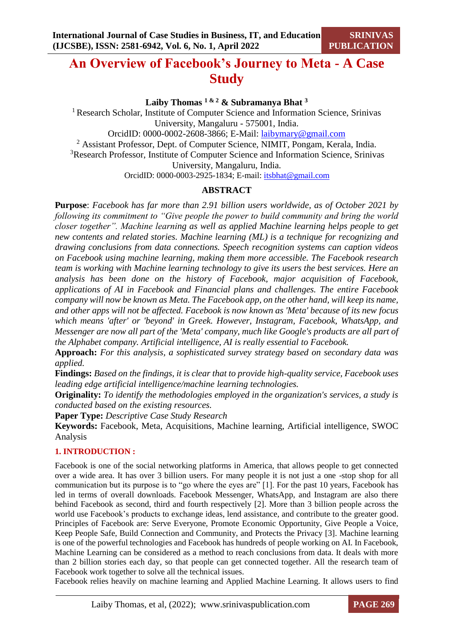# **An Overview of Facebook's Journey to Meta - A Case Study**

**Laiby Thomas 1 & 2 & Subramanya Bhat <sup>3</sup>**

<sup>1</sup> Research Scholar, Institute of Computer Science and Information Science, Srinivas University, Mangaluru - 575001, India.

OrcidID: 0000-0002-2608-3866; E-Mail: [laibymary@gmail.com](mailto:laibymary@gmail.com)

<sup>2</sup> Assistant Professor, Dept. of Computer Science, NIMIT, Pongam, Kerala, India.

<sup>3</sup>Research Professor, Institute of Computer Science and Information Science, Srinivas University, Mangaluru, India.

OrcidID: 0000-0003-2925-1834; E-mail: [itsbhat@gmail.com](mailto:itsbhat@gmail.com)

# **ABSTRACT**

**Purpose**: *Facebook has far more than 2.91 billion users worldwide, as of October 2021 by following its commitment to "Give people the power to build community and bring the world closer together". Machine learning as well as applied Machine learning helps people to get new contents and related stories. Machine learning (ML) is a technique for recognizing and drawing conclusions from data connections. Speech recognition systems can caption videos on Facebook using machine learning, making them more accessible. The Facebook research team is working with Machine learning technology to give its users the best services. Here an analysis has been done on the history of Facebook, major acquisition of Facebook, applications of AI in Facebook and Financial plans and challenges. The entire Facebook company will now be known as Meta. The Facebook app, on the other hand, will keep its name, and other apps will not be affected. Facebook is now known as 'Meta' because of its new focus which means 'after' or 'beyond' in Greek. However, Instagram, Facebook, WhatsApp, and Messenger are now all part of the 'Meta' company, much like Google's products are all part of the Alphabet company. Artificial intelligence, AI is really essential to Facebook.* 

**Approach:** *For this analysis, a sophisticated survey strategy based on secondary data was applied.*

**Findings:** *Based on the findings, it is clear that to provide high-quality service, Facebook uses leading edge artificial intelligence/machine learning technologies.*

**Originality:** *To identify the methodologies employed in the organization's services, a study is conducted based on the existing resources.*

**Paper Type:** *Descriptive Case Study Research*

**Keywords:** Facebook, Meta, Acquisitions, Machine learning, Artificial intelligence, SWOC Analysis

# **1. INTRODUCTION :**

Facebook is one of the social networking platforms in America, that allows people to get connected over a wide area. It has over 3 billion users. For many people it is not just a one -stop shop for all communication but its purpose is to "go where the eyes are" [1]. For the past 10 years, Facebook has led in terms of overall downloads. Facebook Messenger, WhatsApp, and Instagram are also there behind Facebook as second, third and fourth respectively [2]. More than 3 billion people across the world use Facebook's products to exchange ideas, lend assistance, and contribute to the greater good. Principles of Facebook are: Serve Everyone, Promote Economic Opportunity, Give People a Voice, Keep People Safe, Build Connection and Community, and Protects the Privacy [3]. Machine learning is one of the powerful technologies and Facebook has hundreds of people working on AI. In Facebook, Machine Learning can be considered as a method to reach conclusions from data. It deals with more than 2 billion stories each day, so that people can get connected together. All the research team of Facebook work together to solve all the technical issues.

Facebook relies heavily on machine learning and Applied Machine Learning. It allows users to find

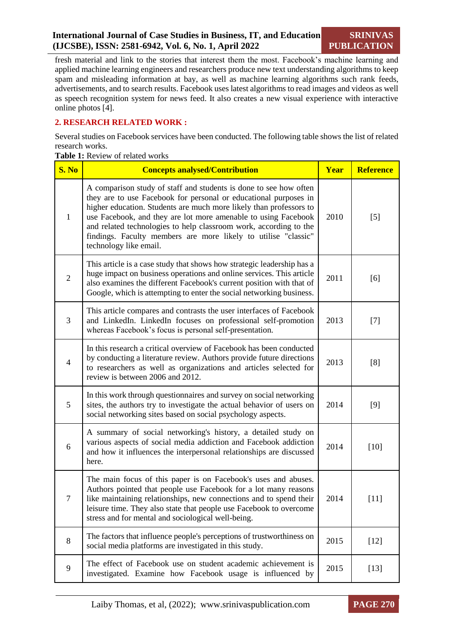fresh material and link to the stories that interest them the most. Facebook's machine learning and applied machine learning engineers and researchers produce new text understanding algorithms to keep spam and misleading information at bay, as well as machine learning algorithms such rank feeds, advertisements, and to search results. Facebook uses latest algorithms to read images and videos as well as speech recognition system for news feed. It also creates a new visual experience with interactive online photos [4].

# **2. RESEARCH RELATED WORK :**

Several studies on Facebook services have been conducted. The following table shows the list of related research works.

**Table 1:** Review of related works

| S. No          | <b>Concepts analysed/Contribution</b>                                                                                                                                                                                                                                                                                                                                                                                                          | Year | <b>Reference</b> |
|----------------|------------------------------------------------------------------------------------------------------------------------------------------------------------------------------------------------------------------------------------------------------------------------------------------------------------------------------------------------------------------------------------------------------------------------------------------------|------|------------------|
| 1              | A comparison study of staff and students is done to see how often<br>they are to use Facebook for personal or educational purposes in<br>higher education. Students are much more likely than professors to<br>use Facebook, and they are lot more amenable to using Facebook<br>and related technologies to help classroom work, according to the<br>findings. Faculty members are more likely to utilise "classic"<br>technology like email. | 2010 | $[5]$            |
| $\overline{2}$ | This article is a case study that shows how strategic leadership has a<br>huge impact on business operations and online services. This article<br>also examines the different Facebook's current position with that of<br>Google, which is attempting to enter the social networking business.                                                                                                                                                 | 2011 | [6]              |
| 3              | This article compares and contrasts the user interfaces of Facebook<br>and LinkedIn. LinkedIn focuses on professional self-promotion<br>whereas Facebook's focus is personal self-presentation.                                                                                                                                                                                                                                                | 2013 | $[7]$            |
| $\overline{4}$ | In this research a critical overview of Facebook has been conducted<br>by conducting a literature review. Authors provide future directions<br>to researchers as well as organizations and articles selected for<br>review is between 2006 and 2012.                                                                                                                                                                                           | 2013 | [8]              |
| 5              | In this work through questionnaires and survey on social networking<br>sites, the authors try to investigate the actual behavior of users on<br>social networking sites based on social psychology aspects.                                                                                                                                                                                                                                    | 2014 | [9]              |
| 6              | A summary of social networking's history, a detailed study on<br>various aspects of social media addiction and Facebook addiction<br>and how it influences the interpersonal relationships are discussed<br>here.                                                                                                                                                                                                                              | 2014 | $[10]$           |
| $\tau$         | The main focus of this paper is on Facebook's uses and abuses.<br>Authors pointed that people use Facebook for a lot many reasons<br>like maintaining relationships, new connections and to spend their<br>leisure time. They also state that people use Facebook to overcome<br>stress and for mental and sociological well-being.                                                                                                            | 2014 | $[11]$           |
| 8              | The factors that influence people's perceptions of trustworthiness on<br>social media platforms are investigated in this study.                                                                                                                                                                                                                                                                                                                | 2015 | $[12]$           |
| 9              | The effect of Facebook use on student academic achievement is<br>investigated. Examine how Facebook usage is influenced by                                                                                                                                                                                                                                                                                                                     | 2015 | $[13]$           |

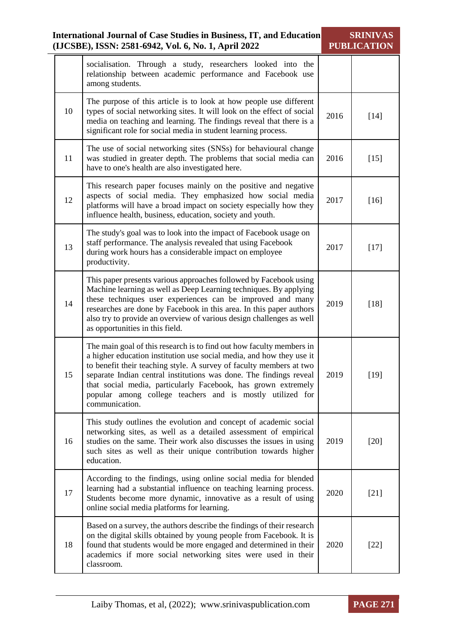|    | <b>International Journal of Case Studies in Business, IT, and Education</b><br>(IJCSBE), ISSN: 2581-6942, Vol. 6, No. 1, April 2022                                                                                                                                                                                                                                                                                                       | <b>SRINIVAS</b><br><b>PUBLICATION</b> |        |
|----|-------------------------------------------------------------------------------------------------------------------------------------------------------------------------------------------------------------------------------------------------------------------------------------------------------------------------------------------------------------------------------------------------------------------------------------------|---------------------------------------|--------|
|    | socialisation. Through a study, researchers looked into the<br>relationship between academic performance and Facebook use<br>among students.                                                                                                                                                                                                                                                                                              |                                       |        |
| 10 | The purpose of this article is to look at how people use different<br>types of social networking sites. It will look on the effect of social<br>media on teaching and learning. The findings reveal that there is a<br>significant role for social media in student learning process.                                                                                                                                                     | 2016                                  | $[14]$ |
| 11 | The use of social networking sites (SNSs) for behavioural change<br>was studied in greater depth. The problems that social media can<br>have to one's health are also investigated here.                                                                                                                                                                                                                                                  | 2016                                  | $[15]$ |
| 12 | This research paper focuses mainly on the positive and negative<br>aspects of social media. They emphasized how social media<br>platforms will have a broad impact on society especially how they<br>influence health, business, education, society and youth.                                                                                                                                                                            | 2017                                  | $[16]$ |
| 13 | The study's goal was to look into the impact of Facebook usage on<br>staff performance. The analysis revealed that using Facebook<br>during work hours has a considerable impact on employee<br>productivity.                                                                                                                                                                                                                             | 2017                                  | $[17]$ |
| 14 | This paper presents various approaches followed by Facebook using<br>Machine learning as well as Deep Learning techniques. By applying<br>these techniques user experiences can be improved and many<br>researches are done by Facebook in this area. In this paper authors<br>also try to provide an overview of various design challenges as well<br>as opportunities in this field.                                                    | 2019                                  | $[18]$ |
| 15 | The main goal of this research is to find out how faculty members in<br>a higher education institution use social media, and how they use it<br>to benefit their teaching style. A survey of faculty members at two<br>separate Indian central institutions was done. The findings reveal<br>that social media, particularly Facebook, has grown extremely<br>popular among college teachers and is mostly utilized for<br>communication. | 2019                                  | $[19]$ |
| 16 | This study outlines the evolution and concept of academic social<br>networking sites, as well as a detailed assessment of empirical<br>studies on the same. Their work also discusses the issues in using<br>such sites as well as their unique contribution towards higher<br>education.                                                                                                                                                 | 2019                                  | $[20]$ |
| 17 | According to the findings, using online social media for blended<br>learning had a substantial influence on teaching learning process.<br>Students become more dynamic, innovative as a result of using<br>online social media platforms for learning.                                                                                                                                                                                    | 2020                                  | $[21]$ |
| 18 | Based on a survey, the authors describe the findings of their research<br>on the digital skills obtained by young people from Facebook. It is<br>found that students would be more engaged and determined in their<br>academics if more social networking sites were used in their<br>classroom.                                                                                                                                          | 2020                                  | $[22]$ |

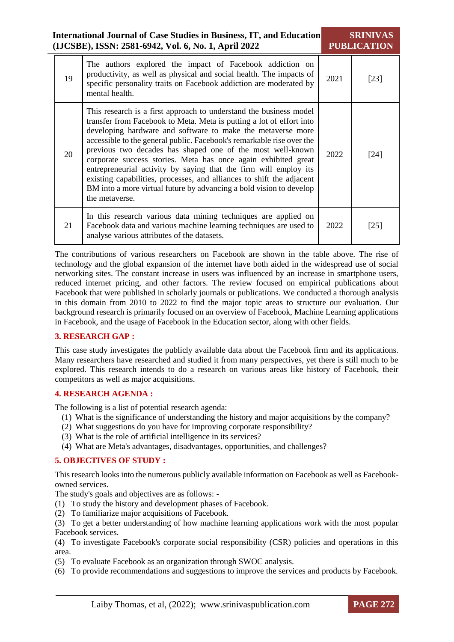|    | International Journal of Case Studies in Business, IT, and Education<br>(IJCSBE), ISSN: 2581-6942, Vol. 6, No. 1, April 2022                                                                                                                                                                                                                                                                                                                                                                                                                                                                                                                             |      | <b>SRINIVAS</b><br><b>PUBLICATION</b> |
|----|----------------------------------------------------------------------------------------------------------------------------------------------------------------------------------------------------------------------------------------------------------------------------------------------------------------------------------------------------------------------------------------------------------------------------------------------------------------------------------------------------------------------------------------------------------------------------------------------------------------------------------------------------------|------|---------------------------------------|
| 19 | The authors explored the impact of Facebook addiction on<br>productivity, as well as physical and social health. The impacts of<br>specific personality traits on Facebook addiction are moderated by<br>mental health.                                                                                                                                                                                                                                                                                                                                                                                                                                  | 2021 | $[23]$                                |
| 20 | This research is a first approach to understand the business model<br>transfer from Facebook to Meta. Meta is putting a lot of effort into<br>developing hardware and software to make the metaverse more<br>accessible to the general public. Facebook's remarkable rise over the<br>previous two decades has shaped one of the most well-known<br>corporate success stories. Meta has once again exhibited great<br>entrepreneurial activity by saying that the firm will employ its<br>existing capabilities, processes, and alliances to shift the adjacent<br>BM into a more virtual future by advancing a bold vision to develop<br>the metaverse. | 2022 | $[24]$                                |
| 21 | In this research various data mining techniques are applied on<br>Facebook data and various machine learning techniques are used to<br>analyse various attributes of the datasets.                                                                                                                                                                                                                                                                                                                                                                                                                                                                       | 2022 | $[25]$                                |

The contributions of various researchers on Facebook are shown in the table above. The rise of technology and the global expansion of the internet have both aided in the widespread use of social networking sites. The constant increase in users was influenced by an increase in smartphone users, reduced internet pricing, and other factors. The review focused on empirical publications about Facebook that were published in scholarly journals or publications. We conducted a thorough analysis in this domain from 2010 to 2022 to find the major topic areas to structure our evaluation. Our background research is primarily focused on an overview of Facebook, Machine Learning applications in Facebook, and the usage of Facebook in the Education sector, along with other fields.

# **3. RESEARCH GAP :**

This case study investigates the publicly available data about the Facebook firm and its applications. Many researchers have researched and studied it from many perspectives, yet there is still much to be explored. This research intends to do a research on various areas like history of Facebook, their competitors as well as major acquisitions.

#### **4. RESEARCH AGENDA :**

The following is a list of potential research agenda:

- (1) What is the significance of understanding the history and major acquisitions by the company?
- (2) What suggestions do you have for improving corporate responsibility?
- (3) What is the role of artificial intelligence in its services?
- (4) What are Meta's advantages, disadvantages, opportunities, and challenges?

# **5. OBJECTIVES OF STUDY :**

This research looks into the numerous publicly available information on Facebook as well as Facebookowned services.

The study's goals and objectives are as follows: -

- (1) To study the history and development phases of Facebook.
- (2) To familiarize major acquisitions of Facebook.
- (3) To get a better understanding of how machine learning applications work with the most popular Facebook services.

(4) To investigate Facebook's corporate social responsibility (CSR) policies and operations in this area.

- (5) To evaluate Facebook as an organization through SWOC analysis.
- (6) To provide recommendations and suggestions to improve the services and products by Facebook.

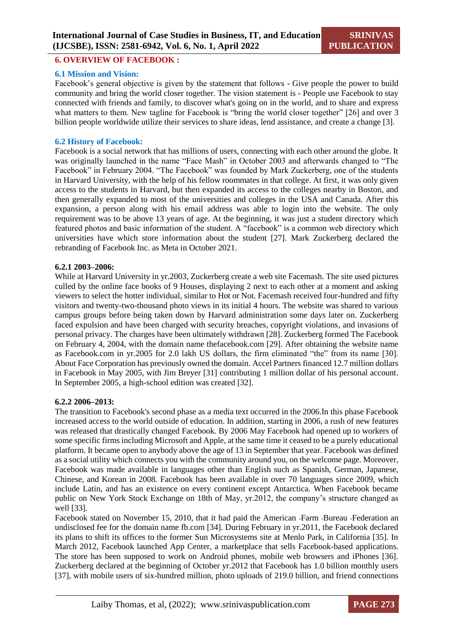#### **6. OVERVIEW OF FACEBOOK :**

#### **6.1 Mission and Vision:**

Facebook's general objective is given by the statement that follows - Give people the power to build community and bring the world closer together. The vision statement is - People use Facebook to stay connected with friends and family, to discover what's going on in the world, and to share and express what matters to them. New tagline for Facebook is "bring the world closer together" [26] and over 3 billion people worldwide utilize their services to share ideas, lend assistance, and create a change [3].

#### **6.2 History of Facebook:**

Facebook is a social network that has millions of users, connecting with each other around the globe. It was originally launched in the name "Face Mash" in October 2003 and afterwards changed to "The Facebook" in February 2004. "The Facebook" was founded by Mark Zuckerberg, one of the students in Harvard University, with the help of his fellow roommates in that college. At first, it was only given access to the students in Harvard, but then expanded its access to the colleges nearby in Boston, and then generally expanded to most of the universities and colleges in the USA and Canada. After this expansion, a person along with his email address was able to login into the website. The only requirement was to be above 13 years of age. At the beginning, it was just a student directory which featured photos and basic information of the student. A "facebook" is a common web directory which universities have which store information about the student [27]. Mark Zuckerberg declared the rebranding of Facebook Inc. as Meta in October 2021.

#### **6.2.1 2003–2006:**

While at Harvard University in yr.2003, Zuckerberg create a web site Facemash. The site used pictures culled by the online face books of 9 Houses, displaying 2 next to each other at a moment and asking viewers to select the hotter individual, similar to Hot or Not. Facemash received four-hundred and fifty visitors and twenty-two-thousand photo views in its initial 4 hours. The website was shared to various campus groups before being taken down by Harvard administration some days later on. Zuckerberg faced expulsion and have been charged with security breaches, copyright violations, and invasions of personal privacy. The charges have been ultimately withdrawn [28]. Zuckerberg formed The Facebook on February 4, 2004, with the domain name thefacebook.com [29]. After obtaining the website name as Facebook.com in yr.2005 for 2.0 lakh US dollars, the firm eliminated "the" from its name [30]. About Face Corporation has previously owned the domain. Accel Partners financed 12.7 million dollars in Facebook in May 2005, with Jim Breyer [31] contributing 1 million dollar of his personal account. In September 2005, a high-school edition was created [32].

#### **6.2.2 2006–2013:**

The transition to Facebook's second phase as a media text occurred in the 2006.In this phase Facebook increased access to the world outside of education. In addition, starting in 2006, a rush of new features was released that drastically changed Facebook. By 2006 May Facebook had opened up to workers of some specific firms including Microsoft and Apple, at the same time it ceased to be a purely educational platform. It became open to anybody above the age of 13 in September that year. Facebook was defined as a social utility which connects you with the community around you, on the welcome page. Moreover, Facebook was made available in languages other than English such as Spanish, German, Japanese, Chinese, and Korean in 2008. Facebook has been available in over 70 languages since 2009, which include Latin, and has an existence on every continent except Antarctica. When Facebook became public on New York Stock Exchange on 18th of May, yr.2012, the company's structure changed as well [33].

Facebook stated on November 15, 2010, that it had paid the American -Farm -Bureau -Federation an undisclosed fee for the domain name fb.com [34]. During February in yr.2011, the Facebook declared its plans to shift its offices to the former Sun Microsystems site at Menlo Park, in California [35]. In March 2012, Facebook launched App Center, a marketplace that sells Facebook-based applications. The store has been supposed to work on Android phones, mobile web browsers and iPhones [36]. Zuckerberg declared at the beginning of October yr.2012 that Facebook has 1.0 billion monthly users [37], with mobile users of six-hundred million, photo uploads of 219.0 billion, and friend connections

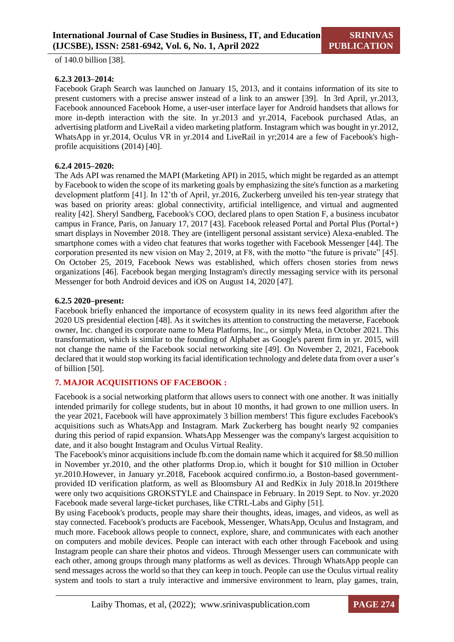of 140.0 billion [38].

## **6.2.3 2013–2014:**

Facebook Graph Search was launched on January 15, 2013, and it contains information of its site to present customers with a precise answer instead of a link to an answer [39]. In 3rd April, yr.2013, Facebook announced Facebook Home, a user-user interface layer for Android handsets that allows for more in-depth interaction with the site. In yr.2013 and yr.2014, Facebook purchased Atlas, an advertising platform and LiveRail a video marketing platform. Instagram which was bought in yr.2012, WhatsApp in yr.2014, Oculus VR in yr.2014 and LiveRail in yr;2014 are a few of Facebook's highprofile acquisitions (2014) [40].

# **6.2.4 2015–2020:**

The Ads API was renamed the MAPI (Marketing API) in 2015, which might be regarded as an attempt by Facebook to widen the scope of its marketing goals by emphasizing the site's function as a marketing development platform [41]. In 12'th of April, yr.2016, Zuckerberg unveiled his ten-year strategy that was based on priority areas: global connectivity, artificial intelligence, and virtual and augmented reality [42]. Sheryl Sandberg, Facebook's COO, declared plans to open Station F, a business incubator campus in France, Paris, on January 17, 2017 [43]. Facebook released Portal and Portal Plus (Portal+) smart displays in November 2018. They are (intelligent personal assistant service) Alexa-enabled. The smartphone comes with a video chat features that works together with Facebook Messenger [44]. The corporation presented its new vision on May 2, 2019, at F8, with the motto "the future is private" [45]. On October 25, 2019, Facebook News was established, which offers chosen stories from news organizations [46]. Facebook began merging Instagram's directly messaging service with its personal Messenger for both Android devices and iOS on August 14, 2020 [47].

#### **6.2.5 2020–present:**

Facebook briefly enhanced the importance of ecosystem quality in its news feed algorithm after the 2020 US presidential election [48]. As it switches its attention to constructing the metaverse, Facebook owner, Inc. changed its corporate name to Meta Platforms, Inc., or simply Meta, in October 2021. This transformation, which is similar to the founding of Alphabet as Google's parent firm in yr. 2015, will not change the name of the Facebook social networking site [49]. On November 2, 2021, Facebook declared that it would stop working its facial identification technology and delete data from over a user's of billion [50].

# **7. MAJOR ACQUISITIONS OF FACEBOOK :**

Facebook is a social networking platform that allows users to connect with one another. It was initially intended primarily for college students, but in about 10 months, it had grown to one million users. In the year 2021, Facebook will have approximately 3 billion members! This figure excludes Facebook's acquisitions such as WhatsApp and Instagram. Mark Zuckerberg has bought nearly 92 companies during this period of rapid expansion. WhatsApp Messenger was the company's largest acquisition to date, and it also bought Instagram and Oculus Virtual Reality.

The Facebook's minor acquisitions include fb.com the domain name which it acquired for \$8.50 million in November yr.2010, and the other platforms Drop.io, which it bought for \$10 million in October yr.2010.However, in January yr.2018, Facebook acquired confirmo.io, a Boston-based governmentprovided ID verification platform, as well as Bloomsbury AI and RedKix in July 2018.In 2019there were only two acquisitions GROKSTYLE and Chainspace in February. In 2019 Sept. to Nov. yr.2020 Facebook made several large-ticket purchases, like CTRL-Labs and Giphy [51].

By using Facebook's products, people may share their thoughts, ideas, images, and videos, as well as stay connected. Facebook's products are Facebook, Messenger, WhatsApp, Oculus and Instagram, and much more. Facebook allows people to connect, explore, share, and communicates with each another on computers and mobile devices. People can interact with each other through Facebook and using Instagram people can share their photos and videos. Through Messenger users can communicate with each other, among groups through many platforms as well as devices. Through WhatsApp people can send messages across the world so that they can keep in touch. People can use the Oculus virtual reality system and tools to start a truly interactive and immersive environment to learn, play games, train,

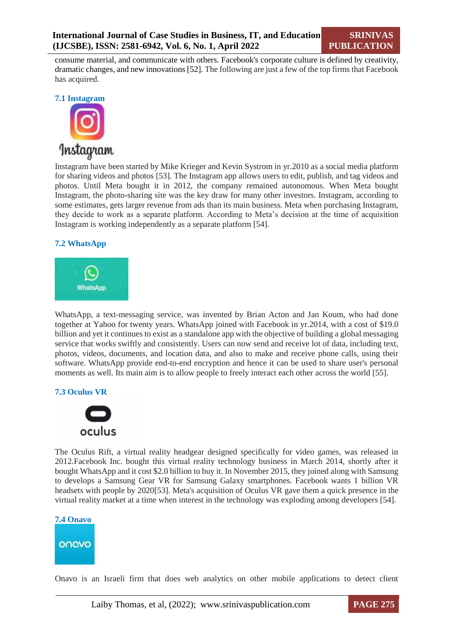consume material, and communicate with others. Facebook's corporate culture is defined by creativity, dramatic changes, and new innovations [52]. The following are just a few of the top firms that Facebook has acquired.

#### **7.1 Instagram**



Instagram have been started by Mike Krieger and Kevin Systrom in yr.2010 as a social media platform for sharing videos and photos [53]. The Instagram app allows users to edit, publish, and tag videos and photos. Until Meta bought it in 2012, the company remained autonomous. When Meta bought Instagram, the photo-sharing site was the key draw for many other investors. Instagram, according to some estimates, gets larger revenue from ads than its main business. Meta when purchasing Instagram, they decide to work as a separate platform. According to Meta's decision at the time of acquisition Instagram is working independently as a separate platform [54].

#### **7.2 WhatsApp**



WhatsApp, a text-messaging service, was invented by Brian Acton and Jan Koum, who had done together at Yahoo for twenty years. WhatsApp joined with Facebook in yr.2014, with a cost of \$19.0 billion and yet it continues to exist as a standalone app with the objective of building a global messaging service that works swiftly and consistently. Users can now send and receive lot of data, including text, photos, videos, documents, and location data, and also to make and receive phone calls, using their software. WhatsApp provide end-to-end encryption and hence it can be used to share user's personal moments as well. Its main aim is to allow people to freely interact each other across the world [55].

#### **7.3 Oculus VR**



The Oculus Rift, a virtual reality headgear designed specifically for video games, was released in 2012.Facebook Inc. bought this virtual reality technology business in March 2014, shortly after it bought WhatsApp and it cost \$2.0 billion to buy it. In November 2015, they joined along with Samsung to develops a Samsung Gear VR for Samsung Galaxy smartphones. Facebook wants 1 billion VR headsets with people by 2020[53]. Meta's acquisition of Oculus VR gave them a quick presence in the virtual reality market at a time when interest in the technology was exploding among developers [54].



Onavo is an Israeli firm that does web analytics on other mobile applications to detect client

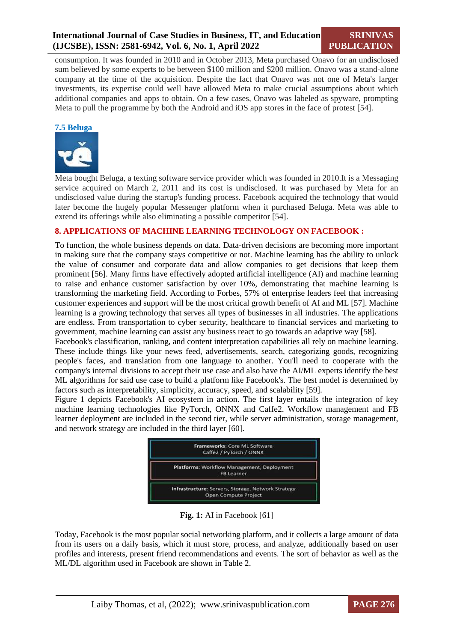consumption. It was founded in 2010 and in October 2013, Meta purchased Onavo for an undisclosed sum believed by some experts to be between \$100 million and \$200 million. Onavo was a stand-alone company at the time of the acquisition. Despite the fact that Onavo was not one of Meta's larger investments, its expertise could well have allowed Meta to make crucial assumptions about which additional companies and apps to obtain. On a few cases, Onavo was labeled as spyware, prompting Meta to pull the programme by both the Android and iOS app stores in the face of protest [54].

#### **7.5 Beluga**



Meta bought Beluga, a texting software service provider which was founded in 2010.It is a Messaging service acquired on March 2, 2011 and its cost is undisclosed. It was purchased by Meta for an undisclosed value during the startup's funding process. Facebook acquired the technology that would later become the hugely popular Messenger platform when it purchased Beluga. Meta was able to extend its offerings while also eliminating a possible competitor [54].

#### **8. APPLICATIONS OF MACHINE LEARNING TECHNOLOGY ON FACEBOOK :**

To function, the whole business depends on data. Data-driven decisions are becoming more important in making sure that the company stays competitive or not. Machine learning has the ability to unlock the value of consumer and corporate data and allow companies to get decisions that keep them prominent [56]. Many firms have effectively adopted artificial intelligence (AI) and machine learning to raise and enhance customer satisfaction by over 10%, demonstrating that machine learning is transforming the marketing field. According to Forbes, 57% of enterprise leaders feel that increasing customer experiences and support will be the most critical growth benefit of AI and ML [57]. Machine learning is a growing technology that serves all types of businesses in all industries. The applications are endless. From transportation to cyber security, healthcare to financial services and marketing to government, machine learning can assist any business react to go towards an adaptive way [58].

Facebook's classification, ranking, and content interpretation capabilities all rely on machine learning. These include things like your news feed, advertisements, search, categorizing goods, recognizing people's faces, and translation from one language to another. You'll need to cooperate with the company's internal divisions to accept their use case and also have the AI/ML experts identify the best ML algorithms for said use case to build a platform like Facebook's. The best model is determined by factors such as interpretability, simplicity, accuracy, speed, and scalability [59].

Figure 1 depicts Facebook's AI ecosystem in action. The first layer entails the integration of key machine learning technologies like PyTorch, ONNX and Caffe2. Workflow management and FB learner deployment are included in the second tier, while server administration, storage management, and network strategy are included in the third layer [60].



**Fig. 1:** AI in Facebook [61]

Today, Facebook is the most popular social networking platform, and it collects a large amount of data from its users on a daily basis, which it must store, process, and analyze, additionally based on user profiles and interests, present friend recommendations and events. The sort of behavior as well as the ML/DL algorithm used in Facebook are shown in Table 2.

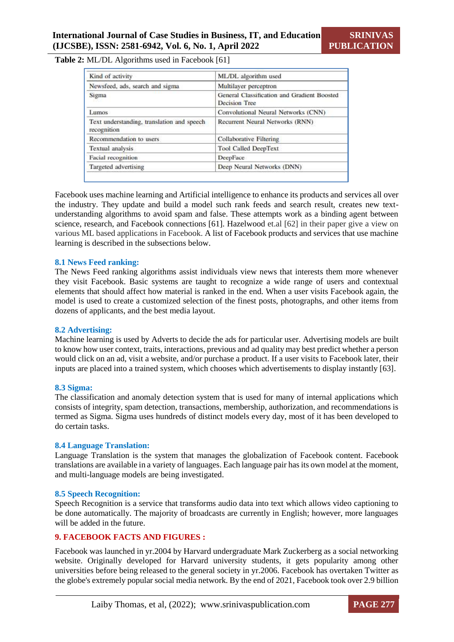#### **Table 2:** ML/DL Algorithms used in Facebook [61]

| Kind of activity                                          | ML/DL algorithm used                                         |
|-----------------------------------------------------------|--------------------------------------------------------------|
| Newsfeed, ads, search and sigma                           | Multilayer perceptron                                        |
| Sigma                                                     | General Classification and Gradient Boosted<br>Decision Tree |
| Lumos                                                     | Convolutional Neural Networks (CNN)                          |
| Text understanding, translation and speech<br>recognition | Recurrent Neural Networks (RNN)                              |
| Recommendation to users                                   | Collaborative Filtering                                      |
| Textual analysis                                          | <b>Tool Called DeepText</b>                                  |
| Facial recognition                                        | DeepFace                                                     |
| Targeted advertising                                      | Deep Neural Networks (DNN)                                   |

Facebook uses machine learning and Artificial intelligence to enhance its products and services all over the industry. They update and build a model such rank feeds and search result, creates new textunderstanding algorithms to avoid spam and false. These attempts work as a binding agent between science, research, and Facebook connections [61]. Hazelwood et.al [62] in their paper give a view on various ML based applications in Facebook. A list of Facebook products and services that use machine learning is described in the subsections below.

#### **8.1 News Feed ranking:**

The News Feed ranking algorithms assist individuals view news that interests them more whenever they visit Facebook. Basic systems are taught to recognize a wide range of users and contextual elements that should affect how material is ranked in the end. When a user visits Facebook again, the model is used to create a customized selection of the finest posts, photographs, and other items from dozens of applicants, and the best media layout.

#### **8.2 Advertising:**

Machine learning is used by Adverts to decide the ads for particular user. Advertising models are built to know how user context, traits, interactions, previous and ad quality may best predict whether a person would click on an ad, visit a website, and/or purchase a product. If a user visits to Facebook later, their inputs are placed into a trained system, which chooses which advertisements to display instantly [63].

#### **8.3 Sigma:**

The classification and anomaly detection system that is used for many of internal applications which consists of integrity, spam detection, transactions, membership, authorization, and recommendations is termed as Sigma. Sigma uses hundreds of distinct models every day, most of it has been developed to do certain tasks.

#### **8.4 Language Translation:**

Language Translation is the system that manages the globalization of Facebook content. Facebook translations are available in a variety of languages. Each language pair has its own model at the moment, and multi-language models are being investigated.

#### **8.5 Speech Recognition:**

Speech Recognition is a service that transforms audio data into text which allows video captioning to be done automatically. The majority of broadcasts are currently in English; however, more languages will be added in the future.

### **9. FACEBOOK FACTS AND FIGURES :**

Facebook was launched in yr.2004 by Harvard undergraduate Mark Zuckerberg as a social networking website. Originally developed for Harvard university students, it gets popularity among other universities before being released to the general society in yr.2006. Facebook has overtaken Twitter as the globe's extremely popular social media network. By the end of 2021, Facebook took over 2.9 billion

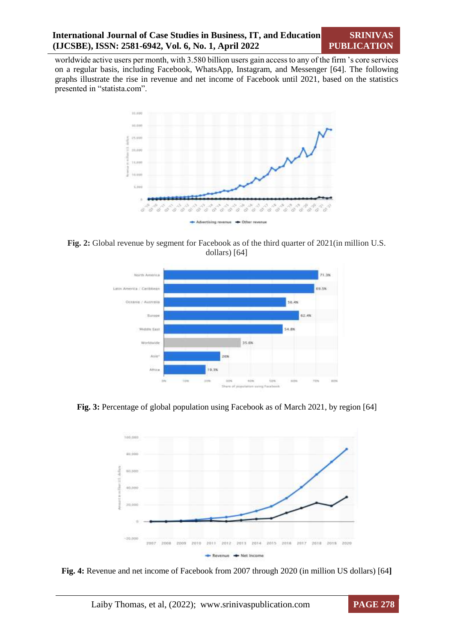worldwide active users per month, with 3.580 billion users gain access to any of the firm 's core services on a regular basis, including Facebook, WhatsApp, Instagram, and Messenger [64]. The following graphs illustrate the rise in revenue and net income of Facebook until 2021, based on the statistics presented in "statista.com".



**Fig. 2:** Global revenue by segment for Facebook as of the third quarter of 2021(in million U.S. dollars) [64]



Fig. 3: Percentage of global population using Facebook as of March 2021, by region [64]



**Fig. 4:** Revenue and net income of Facebook from 2007 through 2020 (in million US dollars) [64**]**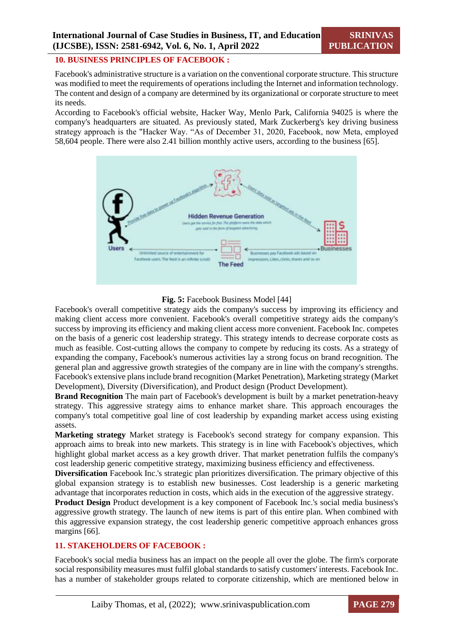#### **10. BUSINESS PRINCIPLES OF FACEBOOK :**

Facebook's administrative structure is a variation on the conventional corporate structure. This structure was modified to meet the requirements of operations including the Internet and information technology. The content and design of a company are determined by its organizational or corporate structure to meet its needs.

According to Facebook's official website, Hacker Way, Menlo Park, California 94025 is where the company's headquarters are situated. As previously stated, Mark Zuckerberg's key driving business strategy approach is the "Hacker Way. "As of December 31, 2020, Facebook, now Meta, employed 58,604 people. There were also 2.41 billion monthly active users, according to the business [65].



#### **Fig. 5:** Facebook Business Model [44]

Facebook's overall competitive strategy aids the company's success by improving its efficiency and making client access more convenient. Facebook's overall competitive strategy aids the company's success by improving its efficiency and making client access more convenient. Facebook Inc. competes on the basis of a generic cost leadership strategy. This strategy intends to decrease corporate costs as much as feasible. Cost-cutting allows the company to compete by reducing its costs. As a strategy of expanding the company, Facebook's numerous activities lay a strong focus on brand recognition. The general plan and aggressive growth strategies of the company are in line with the company's strengths. Facebook's extensive plans include brand recognition (Market Penetration), Marketing strategy (Market Development), Diversity (Diversification), and Product design (Product Development).

**Brand Recognition** The main part of Facebook's development is built by a market penetration-heavy strategy. This aggressive strategy aims to enhance market share. This approach encourages the company's total competitive goal line of cost leadership by expanding market access using existing assets.

**Marketing strategy** Market strategy is Facebook's second strategy for company expansion. This approach aims to break into new markets. This strategy is in line with Facebook's objectives, which highlight global market access as a key growth driver. That market penetration fulfils the company's cost leadership generic competitive strategy, maximizing business efficiency and effectiveness.

**Diversification** Facebook Inc.'s strategic plan prioritizes diversification. The primary objective of this global expansion strategy is to establish new businesses. Cost leadership is a generic marketing advantage that incorporates reduction in costs, which aids in the execution of the aggressive strategy.

**Product Design** Product development is a key component of Facebook Inc.'s social media business's aggressive growth strategy. The launch of new items is part of this entire plan. When combined with this aggressive expansion strategy, the cost leadership generic competitive approach enhances gross margins [66].

# **11. STAKEHOLDERS OF FACEBOOK :**

Facebook's social media business has an impact on the people all over the globe. The firm's corporate social responsibility measures must fulfil global standards to satisfy customers' interests. Facebook Inc. has a number of stakeholder groups related to corporate citizenship, which are mentioned below in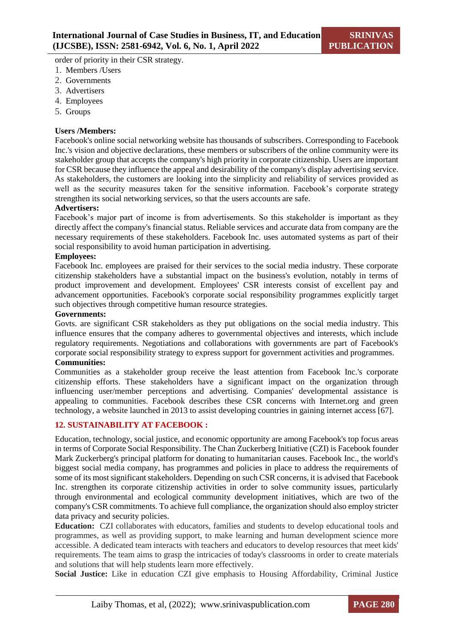order of priority in their CSR strategy.

- 1. Members /Users
- 2. Governments
- 3. Advertisers
- 4. Employees
- 5. Groups

# **Users /Members:**

Facebook's online social networking website has thousands of subscribers. Corresponding to Facebook Inc.'s vision and objective declarations, these members or subscribers of the online community were its stakeholder group that accepts the company's high priority in corporate citizenship. Users are important for CSR because they influence the appeal and desirability of the company's display advertising service. As stakeholders, the customers are looking into the simplicity and reliability of services provided as well as the security measures taken for the sensitive information. Facebook's corporate strategy strengthen its social networking services, so that the users accounts are safe.

#### **Advertisers:**

Facebook's major part of income is from advertisements. So this stakeholder is important as they directly affect the company's financial status. Reliable services and accurate data from company are the necessary requirements of these stakeholders. Facebook Inc. uses automated systems as part of their social responsibility to avoid human participation in advertising.

#### **Employees:**

Facebook Inc. employees are praised for their services to the social media industry. These corporate citizenship stakeholders have a substantial impact on the business's evolution, notably in terms of product improvement and development. Employees' CSR interests consist of excellent pay and advancement opportunities. Facebook's corporate social responsibility programmes explicitly target such objectives through competitive human resource strategies.

#### **Governments:**

Govts. are significant CSR stakeholders as they put obligations on the social media industry. This influence ensures that the company adheres to governmental objectives and interests, which include regulatory requirements. Negotiations and collaborations with governments are part of Facebook's corporate social responsibility strategy to express support for government activities and programmes. **Communities:**

Communities as a stakeholder group receive the least attention from Facebook Inc.'s corporate citizenship efforts. These stakeholders have a significant impact on the organization through influencing user/member perceptions and advertising. Companies' developmental assistance is appealing to communities. Facebook describes these CSR concerns with Internet.org and green technology, a website launched in 2013 to assist developing countries in gaining internet access [67].

# **12. SUSTAINABILITY AT FACEBOOK :**

Education, technology, social justice, and economic opportunity are among Facebook's top focus areas in terms of Corporate Social Responsibility. The Chan Zuckerberg Initiative (CZI) is Facebook founder Mark Zuckerberg's principal platform for donating to humanitarian causes. Facebook Inc., the world's biggest social media company, has programmes and policies in place to address the requirements of some of its most significant stakeholders. Depending on such CSR concerns, it is advised that Facebook Inc. strengthen its corporate citizenship activities in order to solve community issues, particularly through environmental and ecological community development initiatives, which are two of the company's CSR commitments. To achieve full compliance, the organization should also employ stricter data privacy and security policies.

**Education:** CZI collaborates with educators, families and students to develop educational tools and programmes, as well as providing support, to make learning and human development science more accessible. A dedicated team interacts with teachers and educators to develop resources that meet kids' requirements. The team aims to grasp the intricacies of today's classrooms in order to create materials and solutions that will help students learn more effectively.

**Social Justice:** Like in education CZI give emphasis to Housing Affordability, Criminal Justice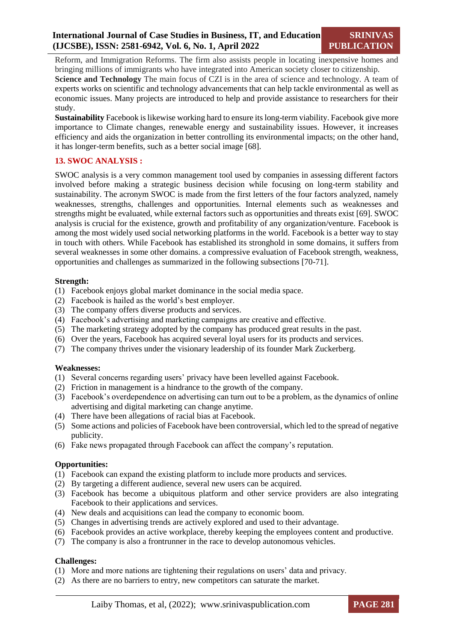Reform, and Immigration Reforms. The firm also assists people in locating inexpensive homes and bringing millions of immigrants who have integrated into American society closer to citizenship.

**Science and Technology** The main focus of CZI is in the area of science and technology. A team of experts works on scientific and technology advancements that can help tackle environmental as well as economic issues. Many projects are introduced to help and provide assistance to researchers for their study.

**Sustainability** Facebook is likewise working hard to ensure its long-term viability. Facebook give more importance to Climate changes, renewable energy and sustainability issues. However, it increases efficiency and aids the organization in better controlling its environmental impacts; on the other hand, it has longer-term benefits, such as a better social image [68].

# **13. SWOC ANALYSIS :**

SWOC analysis is a very common management tool used by companies in assessing different factors involved before making a strategic business decision while focusing on long-term stability and sustainability. The acronym SWOC is made from the first letters of the four factors analyzed, namely weaknesses, strengths, challenges and opportunities. Internal elements such as weaknesses and strengths might be evaluated, while external factors such as opportunities and threats exist [69]. SWOC analysis is crucial for the existence, growth and profitability of any organization/venture. Facebook is among the most widely used social networking platforms in the world. Facebook is a better way to stay in touch with others. While Facebook has established its stronghold in some domains, it suffers from several weaknesses in some other domains. a compressive evaluation of Facebook strength, weakness, opportunities and challenges as summarized in the following subsections [70-71].

# **Strength:**

- (1) Facebook enjoys global market dominance in the social media space.
- (2) Facebook is hailed as the world's best employer.
- (3) The company offers diverse products and services.
- (4) Facebook's advertising and marketing campaigns are creative and effective.
- (5) The marketing strategy adopted by the company has produced great results in the past.
- (6) Over the years, Facebook has acquired several loyal users for its products and services.
- (7) The company thrives under the visionary leadership of its founder Mark Zuckerberg.

#### **Weaknesses:**

- (1) Several concerns regarding users' privacy have been levelled against Facebook.
- (2) Friction in management is a hindrance to the growth of the company.
- (3) Facebook's overdependence on advertising can turn out to be a problem, as the dynamics of online advertising and digital marketing can change anytime.
- (4) There have been allegations of racial bias at Facebook.
- (5) Some actions and policies of Facebook have been controversial, which led to the spread of negative publicity.
- (6) Fake news propagated through Facebook can affect the company's reputation.

# **Opportunities:**

- (1) Facebook can expand the existing platform to include more products and services.
- (2) By targeting a different audience, several new users can be acquired.
- (3) Facebook has become a ubiquitous platform and other service providers are also integrating Facebook to their applications and services.
- (4) New deals and acquisitions can lead the company to economic boom.
- (5) Changes in advertising trends are actively explored and used to their advantage.
- (6) Facebook provides an active workplace, thereby keeping the employees content and productive.
- (7) The company is also a frontrunner in the race to develop autonomous vehicles.

# **Challenges:**

- (1) More and more nations are tightening their regulations on users' data and privacy.
- (2) As there are no barriers to entry, new competitors can saturate the market.

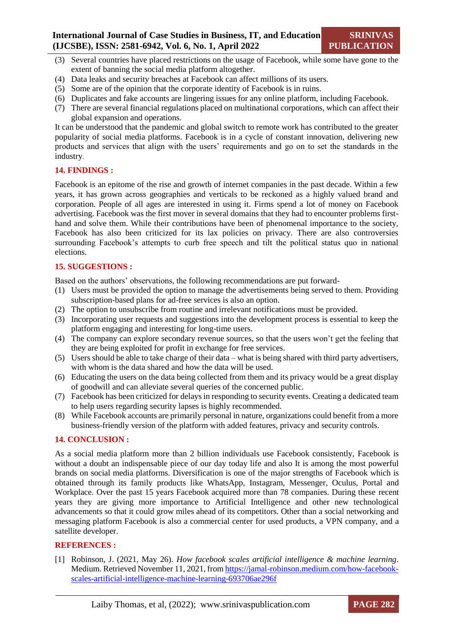- (3) Several countries have placed restrictions on the usage of Facebook, while some have gone to the extent of banning the social media platform altogether.
- (4) Data leaks and security breaches at Facebook can affect millions of its users.
- (5) Some are of the opinion that the corporate identity of Facebook is in ruins.
- (6) Duplicates and fake accounts are lingering issues for any online platform, including Facebook.
- (7) There are several financial regulations placed on multinational corporations, which can affect their global expansion and operations.

It can be understood that the pandemic and global switch to remote work has contributed to the greater popularity of social media platforms. Facebook is in a cycle of constant innovation, delivering new products and services that align with the users' requirements and go on to set the standards in the industry.

# **14. FINDINGS :**

Facebook is an epitome of the rise and growth of internet companies in the past decade. Within a few years, it has grown across geographies and verticals to be reckoned as a highly valued brand and corporation. People of all ages are interested in using it. Firms spend a lot of money on Facebook advertising. Facebook was the first mover in several domains that they had to encounter problems firsthand and solve them. While their contributions have been of phenomenal importance to the society, Facebook has also been criticized for its lax policies on privacy. There are also controversies surrounding Facebook's attempts to curb free speech and tilt the political status quo in national elections.

# **15. SUGGESTIONS :**

Based on the authors' observations, the following recommendations are put forward-

- (1) Users must be provided the option to manage the advertisements being served to them. Providing subscription-based plans for ad-free services is also an option.
- (2) The option to unsubscribe from routine and irrelevant notifications must be provided.
- (3) Incorporating user requests and suggestions into the development process is essential to keep the platform engaging and interesting for long-time users.
- (4) The company can explore secondary revenue sources, so that the users won't get the feeling that they are being exploited for profit in exchange for free services.
- (5) Users should be able to take charge of their data what is being shared with third party advertisers, with whom is the data shared and how the data will be used.
- (6) Educating the users on the data being collected from them and its privacy would be a great display of goodwill and can alleviate several queries of the concerned public.
- (7) Facebook has been criticized for delays in responding to security events. Creating a dedicated team to help users regarding security lapses is highly recommended.
- (8) While Facebook accounts are primarily personal in nature, organizations could benefit from a more business-friendly version of the platform with added features, privacy and security controls.

# **14. CONCLUSION :**

As a social media platform more than 2 billion individuals use Facebook consistently, Facebook is without a doubt an indispensable piece of our day today life and also It is among the most powerful brands on social media platforms. Diversification is one of the major strengths of Facebook which is obtained through its family products like WhatsApp, Instagram, Messenger, Oculus, Portal and Workplace. Over the past 15 years Facebook acquired more than 78 companies. During these recent years they are giving more importance to Artificial Intelligence and other new technological advancements so that it could grow miles ahead of its competitors. Other than a social networking and messaging platform Facebook is also a commercial center for used products, a VPN company, and a satellite developer.

# **REFERENCES :**

[1] Robinson, J. (2021, May 26). *How facebook scales artificial intelligence & machine learning*. Medium. Retrieved November 11, 2021, fro[m https://jamal-robinson.medium.com/how-facebook](https://jamal-robinson.medium.com/how-facebook-scales-artificial-intelligence-machine-learning-693706ae296f)[scales-artificial-intelligence-machine-learning-693706ae296f](https://jamal-robinson.medium.com/how-facebook-scales-artificial-intelligence-machine-learning-693706ae296f)

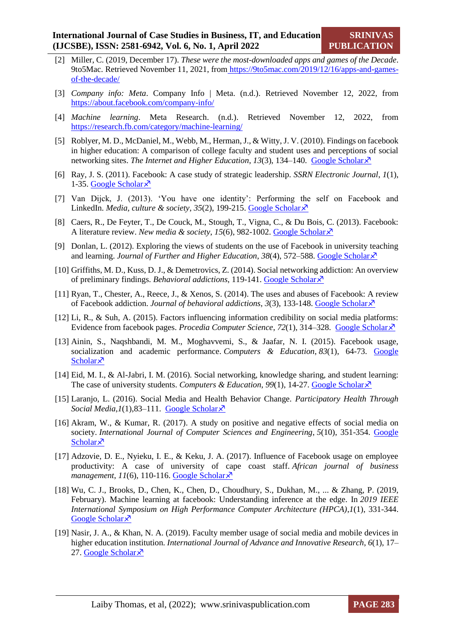- [2] Miller, C. (2019, December 17). *These were the most-downloaded apps and games of the Decade*. 9to5Mac. Retrieved November 11, 2021, from [https://9to5mac.com/2019/12/16/apps-and-games](https://9to5mac.com/2019/12/16/apps-and-games-of-the-decade/)[of-the-decade/](https://9to5mac.com/2019/12/16/apps-and-games-of-the-decade/)
- [3] *Company info: Meta*. Company Info | Meta. (n.d.). Retrieved November 12, 2022, from <https://about.facebook.com/company-info/>
- [4] *Machine learning*. Meta Research. (n.d.). Retrieved November 12, 2022, from <https://research.fb.com/category/machine-learning/>
- [5] Roblyer, M. D., McDaniel, M., Webb, M., Herman, J., & Witty, J. V. (2010). Findings on facebook in higher education: A comparison of college faculty and student uses and perceptions of social networking sites. *The Internet and Higher Education*,  $13(3)$ ,  $134-140$ . [Google Scholar](https://scholar.google.com/scholar?hl=en&as_sdt=0%2C5&q=Findings+on+facebook+in+higher+education%3A+A+comparison+of+college+faculty+and+student+uses+and+perceptions+of+social+networking+sites&btnG=) $\lambda$ <sup>3</sup>
- [6] Ray, J. S. (2011). Facebook: A case study of strategic leadership. *SSRN Electronic Journal*, *1*(1), 1-35. [Google Scholar](https://scholar.google.com/scholar?hl=en&as_sdt=0%2C5&q=Facebook%3A+A+case+study+of+strategic+leadership&btnG=) $\lambda$ <sup>7</sup>
- [7] Van Dijck, J. (2013). 'You have one identity': Performing the self on Facebook and LinkedIn. *Media, culture & society, 35(2), 199-215*. [Google Scholar](https://scholar.google.com/scholar?hl=en&as_sdt=0%2C5&q=%E2%80%98You+have+one+identity%E2%80%99%3A+Performing+the+self+on+Facebook+and+LinkedIn.+Media%2C+culture+%26+society&btnG=)  $\lambda$ <sup>7</sup>
- [8] Caers, R., De Feyter, T., De Couck, M., Stough, T., Vigna, C., & Du Bois, C. (2013). Facebook: A literature review. *New media & society*, 15(6), 982-1002. [Google Scholar](https://scholar.google.com/scholar?hl=en&as_sdt=0%2C5&q=Facebook%3A+A+literature+review.+New+media+%26+society&btnG=)  $\lambda$
- [9] Donlan, L. (2012). Exploring the views of students on the use of Facebook in university teaching and learning. *Journal of Further and Higher Education*, *38*(4), 572–588. [Google Scholar](https://scholar.google.com/scholar?hl=en&as_sdt=0%2C5&q=Exploring+the+views+of+students+on+the+use+of+Facebook+in+university+teaching+and+learning&btnG=)
- [10] Griffiths, M. D., Kuss, D. J., & Demetrovics, Z. (2014). Social networking addiction: An overview of preliminary findings. *Behavioral addictions*, 119-141. [Google Scholar](https://scholar.google.com/scholar?hl=en&as_sdt=0%2C5&q=Social+networking+addiction%3A+An+overview+of+preliminary+findings&btnG=)
- [11] Ryan, T., Chester, A., Reece, J., & Xenos, S. (2014). The uses and abuses of Facebook: A review of Facebook addiction. *Journal of behavioral addictions*, *3*(3), 133-148. [Google Scholar](https://scholar.google.com/scholar?hl=en&as_sdt=0%2C5&q=The+uses+and+abuses+of+Facebook%3A+A+review+of+Facebook+addiction&btnG=)
- [12] Li, R., & Suh, A. (2015). Factors influencing information credibility on social media platforms: Evidence from facebook pages. *Procedia Computer Science*, *72*(1), 314–328. [Google Scholar](https://scholar.google.com/scholar?hl=en&as_sdt=0%2C5&q=Factors+influencing+information+credibility+on+social+media+platforms%3A+Evidence+from+facebook+pages&btnG=)
- [13] Ainin, S., Naqshbandi, M. M., Moghavvemi, S., & Jaafar, N. I. (2015). Facebook usage, socialization and academic performance. *Computers & Education*, *83*(1), 64-73. [Google](https://scholar.google.com/scholar?hl=en&as_sdt=0%2C5&q=Facebook+usage%2C+socialization+and+academic+performance&btnG=)  [Scholar](https://scholar.google.com/scholar?hl=en&as_sdt=0%2C5&q=Facebook+usage%2C+socialization+and+academic+performance&btnG=) $\lambda$
- [14] Eid, M. I., & Al-Jabri, I. M. (2016). Social networking, knowledge sharing, and student learning: The case of university students. *Computers & Education*, 99(1), 14-27[. Google Scholar](https://scholar.google.com/scholar?hl=en&as_sdt=0%2C5&q=Social+networking%2C+knowledge+sharing%2C+and+student+learning%3A+The+case+of+university+students&btnG=) $\lambda$
- [15] Laranjo, L. (2016). Social Media and Health Behavior Change. *Participatory Health Through Social Media*, $I(1)$ , 83–111. [Google Scholar](https://scholar.google.com/scholar?hl=en&as_sdt=0%2C5&q=Social+Media+and+Health+Behavior+Change&btnG=) $\lambda$ <sup>7</sup>
- [16] Akram, W., & Kumar, R. (2017). A study on positive and negative effects of social media on society. *International Journal of Computer Sciences and Engineering*, *5*(10), 351-354. [Google](https://scholar.google.com/scholar?hl=en&as_sdt=0%2C5&q=A+study+on+positive+and+negative+effects+of+social+media+on+society&btnG=)  [Scholar](https://scholar.google.com/scholar?hl=en&as_sdt=0%2C5&q=A+study+on+positive+and+negative+effects+of+social+media+on+society&btnG=)<sup> $\lambda$ </sup>
- [17] Adzovie, D. E., Nyieku, I. E., & Keku, J. A. (2017). Influence of Facebook usage on employee productivity: A case of university of cape coast staff. *African journal of business management*,  $11(6)$ , 110-116. [Google Scholar](https://scholar.google.com/scholar?hl=en&as_sdt=0%2C5&q=Influence+of+Facebook+usage+on+employee+productivity%3A+A+case+of+university+of+cape+coast+staff&btnG=) $\lambda$ <sup>7</sup>
- [18] Wu, C. J., Brooks, D., Chen, K., Chen, D., Choudhury, S., Dukhan, M., ... & Zhang, P. (2019, February). Machine learning at facebook: Understanding inference at the edge. In *2019 IEEE International Symposium on High Performance Computer Architecture (HPCA)*,*1*(1), 331-344. [Google Scholar](https://scholar.google.com/scholar?hl=en&as_sdt=0%2C5&q=Machine+learning+at+Facebook%3A+Understanding+inference+at+the+edge&btnG=) ×
- [19] Nasir, J. A., & Khan, N. A. (2019). Faculty member usage of social media and mobile devices in higher education institution. *International Journal of Advance and Innovative Research*, *6*(1), 17– 27. [Google Scholar](https://scholar.google.com/scholar?hl=en&as_sdt=0%2C5&q=Faculty+member+usage+of+social+media+and+mobile+devices+in+higher+education+institution&btnG=) $\lambda$

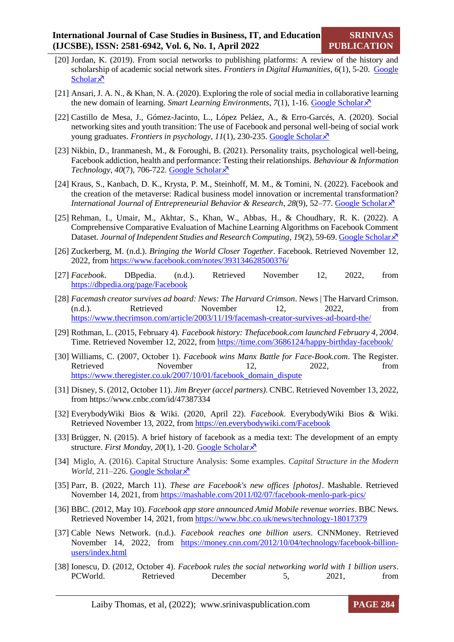- [20] Jordan, K. (2019). From social networks to publishing platforms: A review of the history and scholarship of academic social network sites. *Frontiers in Digital Humanities*, *6*(1), 5-20. [Google](https://scholar.google.com/scholar?hl=en&as_sdt=0%2C5&q=From+social+networks+to+publishing+platforms%3A+A+review+of+the+history+and+scholarship+of+academic+social+network+sites&btnG=)  [Scholar](https://scholar.google.com/scholar?hl=en&as_sdt=0%2C5&q=From+social+networks+to+publishing+platforms%3A+A+review+of+the+history+and+scholarship+of+academic+social+network+sites&btnG=) $\lambda$
- [21] Ansari, J. A. N., & Khan, N. A. (2020). Exploring the role of social media in collaborative learning the new domain of learning. *Smart Learning Environments*,  $7(1)$ , 1-16. [Google Scholar](https://scholar.google.com/scholar?hl=en&as_sdt=0%2C5&q=Exploring+the+role+of+social+media+in+collaborative+learning+the+new+domain+of+learning.+Smart+Learning+Environments&btnG=) $\lambda$
- [22] Castillo de Mesa, J., Gómez-Jacinto, L., López Peláez, A., & Erro-Garcés, A. (2020). Social networking sites and youth transition: The use of Facebook and personal well-being of social work young graduates. *Frontiers in psychology*, *11*(1), 230-235. [Google Scholar](https://scholar.google.com/scholar?hl=en&as_sdt=0%2C5&q=%29.+Social+networking+sites+and+youth+transition%3A+The+use+of+Facebook+and+personal+well-being+of+social+work+young+graduates&btnG=)
- [23] Nikbin, D., Iranmanesh, M., & Foroughi, B. (2021). Personality traits, psychological well-being, Facebook addiction, health and performance: Testing their relationships. *Behaviour & Information*   $Technology, 40(7), 706-722. Google Scholar  $\lambda$$  $Technology, 40(7), 706-722. Google Scholar  $\lambda$$  $Technology, 40(7), 706-722. Google Scholar  $\lambda$$
- [24] Kraus, S., Kanbach, D. K., Krysta, P. M., Steinhoff, M. M., & Tomini, N. (2022). Facebook and the creation of the metaverse: Radical business model innovation or incremental transformation? *International Journal of Entrepreneurial Behavior & Research, 28(9), 52-77. [Google Scholar](https://scholar.google.com/scholar?hl=en&as_sdt=0%2C5&q=Facebook+and+the+creation+of+the+metaverse%3A+radical+business+model+innovation+or+incremental+transformation%3F&btnG=)*  $\times$
- [25] Rehman, I., Umair, M., Akhtar, S., Khan, W., Abbas, H., & Choudhary, R. K. (2022). A Comprehensive Comparative Evaluation of Machine Learning Algorithms on Facebook Comment Dataset. *Journal of Independent Studies and Research Computing*, 19(2), 59-69[. Google Scholar](https://scholar.google.com/scholar?hl=en&as_sdt=0%2C5&q=A+Comprehensive+Comparative+Evaluation+of+Machine+Learning+Algorithms+on+Facebook+Comment+Dataset&btnG=)  $\lambda$
- [26] Zuckerberg, M. (n.d.). *Bringing the World Closer Together*. Facebook. Retrieved November 12, 2022, from<https://www.facebook.com/notes/393134628500376/>
- [27] *Facebook*. DBpedia. (n.d.). Retrieved November 12, 2022, from <https://dbpedia.org/page/Facebook>
- [28] *Facemash creator survives ad board: News: The Harvard Crimson*. News | The Harvard Crimson. (n.d.). Retrieved November 12, 2022, from <https://www.thecrimson.com/article/2003/11/19/facemash-creator-survives-ad-board-the/>
- [29] Rothman, L. (2015, February 4). *Facebook history: Thefacebook.com launched February 4, 2004*. Time. Retrieved November 12, 2022, from<https://time.com/3686124/happy-birthday-facebook/>
- [30] Williams, C. (2007, October 1). *Facebook wins Manx Battle for Face-Book.com*. The Register. Retrieved November 12, 2022, from [https://www.theregister.co.uk/2007/10/01/facebook\\_domain\\_dispute](https://www.theregister.co.uk/2007/10/01/facebook_domain_dispute)
- [31] Disney, S. (2012, October 11). *Jim Breyer (accel partners)*. CNBC. Retrieved November 13, 2022, from https://www.cnbc.com/id/47387334
- [32] EverybodyWiki Bios & Wiki. (2020, April 22). *Facebook*. EverybodyWiki Bios & Wiki. Retrieved November 13, 2022, from<https://en.everybodywiki.com/Facebook>
- [33] Brügger, N. (2015). A brief history of facebook as a media text: The development of an empty structure. *First Monday*, *20*(1), 1-20. [Google Scholar](https://scholar.google.com/scholar?hl=en&as_sdt=0%2C5&q=A+brief+history+of+Facebook+as+a+media+text%3A+The+development+of+an+empty+structure&btnG=)
- [34] Miglo, A. (2016). Capital Structure Analysis: Some examples. *Capital Structure in the Modern World*, 211–226. [Google Scholar](https://scholar.google.com/scholar?hl=en&as_sdt=0%2C5&q=Capital+Structure+Analysis%3A+Some+examples+Capital+Structure+in+the+Modern+World&btnG=) ×
- [35] Parr, B. (2022, March 11). *These are Facebook's new offices [photos]*. Mashable. Retrieved November 14, 2021, fro[m https://mashable.com/2011/02/07/facebook-menlo-park-pics/](https://mashable.com/2011/02/07/facebook-menlo-park-pics/)
- [36] BBC. (2012, May 10). *Facebook app store announced Amid Mobile revenue worries*. BBC News. Retrieved November 14, 2021, from<https://www.bbc.co.uk/news/technology-18017379>
- [37] Cable News Network. (n.d.). *Facebook reaches one billion users*. CNNMoney. Retrieved November 14, 2022, from [https://money.cnn.com/2012/10/04/technology/facebook-billion](https://money.cnn.com/2012/10/04/technology/facebook-billion-users/index.html)[users/index.html](https://money.cnn.com/2012/10/04/technology/facebook-billion-users/index.html)
- [38] Ionescu, D. (2012, October 4). *Facebook rules the social networking world with 1 billion users*. PCWorld. Retrieved December 5, 2021, from

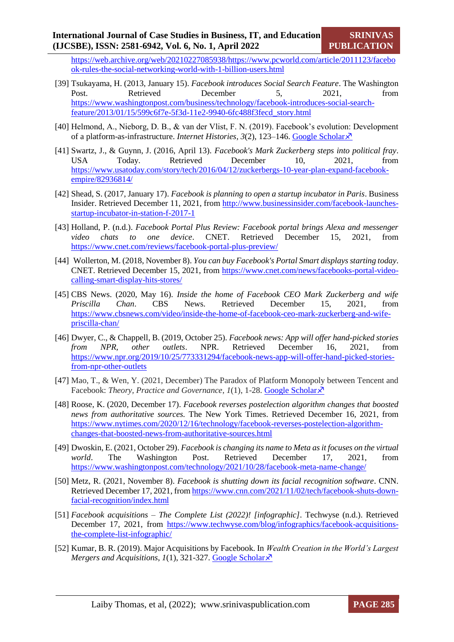[https://web.archive.org/web/20210227085938/https://www.pcworld.com/article/2011123/facebo](https://web.archive.org/web/20210227085938/https:/www.pcworld.com/article/2011123/facebook-rules-the-social-networking-world-with-1-billion-users.html) [ok-rules-the-social-networking-world-with-1-billion-users.html](https://web.archive.org/web/20210227085938/https:/www.pcworld.com/article/2011123/facebook-rules-the-social-networking-world-with-1-billion-users.html)

- [39] Tsukayama, H. (2013, January 15). *Facebook introduces Social Search Feature*. The Washington Post. Retrieved December 5, 2021, from [https://www.washingtonpost.com/business/technology/facebook-introduces-social-search](https://www.washingtonpost.com/business/technology/facebook-introduces-social-search-feature/2013/01/15/599c6f7e-5f3d-11e2-9940-6fc488f3fecd_story.html)[feature/2013/01/15/599c6f7e-5f3d-11e2-9940-6fc488f3fecd\\_story.html](https://www.washingtonpost.com/business/technology/facebook-introduces-social-search-feature/2013/01/15/599c6f7e-5f3d-11e2-9940-6fc488f3fecd_story.html)
- [40] Helmond, A., Nieborg, D. B., & van der Vlist, F. N. (2019). Facebook's evolution: Development of a platform-as-infrastructure. *Internet Histories*, *3*(2), 123–146. [Google Scholar](https://www.tandfonline.com/doi/full/10.1080/24701475.2019.1593667)
- [41] Swartz, J., & Guynn, J. (2016, April 13). *Facebook's Mark Zuckerberg steps into political fray*. USA Today. Retrieved December 10, 2021, from [https://www.usatoday.com/story/tech/2016/04/12/zuckerbergs-10-year-plan-expand-facebook](https://www.usatoday.com/story/tech/2016/04/12/zuckerbergs-10-year-plan-expand-facebook-empire/82936814/)[empire/82936814/](https://www.usatoday.com/story/tech/2016/04/12/zuckerbergs-10-year-plan-expand-facebook-empire/82936814/)
- [42] Shead, S. (2017, January 17). *Facebook is planning to open a startup incubator in Paris*. Business Insider. Retrieved December 11, 2021, from [http://www.businessinsider.com/facebook-launches](http://www.businessinsider.com/facebook-launches-startup-incubator-in-station-f-2017-1)[startup-incubator-in-station-f-2017-1](http://www.businessinsider.com/facebook-launches-startup-incubator-in-station-f-2017-1)
- [43] Holland, P. (n.d.). *Facebook Portal Plus Review: Facebook portal brings Alexa and messenger video chats to one device*. CNET. Retrieved December 15, 2021, from <https://www.cnet.com/reviews/facebook-portal-plus-preview/>
- [44] Wollerton, M. (2018, November 8). *You can buy Facebook's Portal Smart displays starting today*. CNET. Retrieved December 15, 2021, from [https://www.cnet.com/news/facebooks-portal-video](https://www.cnet.com/news/facebooks-portal-video-calling-smart-display-hits-stores/)[calling-smart-display-hits-stores/](https://www.cnet.com/news/facebooks-portal-video-calling-smart-display-hits-stores/)
- [45] CBS News. (2020, May 16). *Inside the home of Facebook CEO Mark Zuckerberg and wife Priscilla Chan*. CBS News. Retrieved December 15, 2021, from [https://www.cbsnews.com/video/inside-the-home-of-facebook-ceo-mark-zuckerberg-and-wife](https://www.cbsnews.com/video/inside-the-home-of-facebook-ceo-mark-zuckerberg-and-wife-priscilla-chan/)[priscilla-chan/](https://www.cbsnews.com/video/inside-the-home-of-facebook-ceo-mark-zuckerberg-and-wife-priscilla-chan/)
- [46] Dwyer, C., & Chappell, B. (2019, October 25). *Facebook news: App will offer hand-picked stories from NPR, other outlets*. NPR. Retrieved December 16, 2021, from [https://www.npr.org/2019/10/25/773331294/facebook-news-app-will-offer-hand-picked-stories](https://www.npr.org/2019/10/25/773331294/facebook-news-app-will-offer-hand-picked-stories-from-npr-other-outlets)[from-npr-other-outlets](https://www.npr.org/2019/10/25/773331294/facebook-news-app-will-offer-hand-picked-stories-from-npr-other-outlets)
- [47] Mao, T., & Wen, Y. (2021, December) The Paradox of Platform Monopoly between Tencent and Facebook: *Theory, Practice and Governance*, *1*(1), 1-28. [Google Scholar](https://scholar.google.com/scholar?hl=en&as_sdt=0%2C5&q=The+Paradox+of+Platform+Monopoly+between+Tencent+and+Facebook%3A+Theory%2C+Practice+and+Governance&btnG=)  $\lambda$ <sup>7</sup>
- [48] Roose, K. (2020, December 17). *Facebook reverses postelection algorithm changes that boosted news from authoritative sources.* The New York Times. Retrieved December 16, 2021, from [https://www.nytimes.com/2020/12/16/technology/facebook-reverses-postelection-algorithm](https://www.nytimes.com/2020/12/16/technology/facebook-reverses-postelection-algorithm-changes-that-boosted-news-from-authoritative-sources.html)[changes-that-boosted-news-from-authoritative-sources.html](https://www.nytimes.com/2020/12/16/technology/facebook-reverses-postelection-algorithm-changes-that-boosted-news-from-authoritative-sources.html)
- [49] Dwoskin, E. (2021, October 29). *Facebook is changing its name to Meta as it focuses on the virtual world*. The Washington Post. Retrieved December 17, 2021, from <https://www.washingtonpost.com/technology/2021/10/28/facebook-meta-name-change/>
- [50] Metz, R. (2021, November 8). *Facebook is shutting down its facial recognition software*. CNN. Retrieved December 17, 2021, from [https://www.cnn.com/2021/11/02/tech/facebook-shuts-down](https://www.cnn.com/2021/11/02/tech/facebook-shuts-down-facial-recognition/index.html)[facial-recognition/index.html](https://www.cnn.com/2021/11/02/tech/facebook-shuts-down-facial-recognition/index.html)
- [51] *Facebook acquisitions – The Complete List (2022)! [infographic]*. Techwyse (n.d.). Retrieved December 17, 2021, from [https://www.techwyse.com/blog/infographics/facebook-acquisitions](https://www.techwyse.com/blog/infographics/facebook-acquisitions-the-complete-list-infographic/)[the-complete-list-infographic/](https://www.techwyse.com/blog/infographics/facebook-acquisitions-the-complete-list-infographic/)
- [52] Kumar, B. R. (2019). Major Acquisitions by Facebook. In *Wealth Creation in the World's Largest Mergers and Acquisitions,*  $I(1)$ *, 321-327. [Google Scholar](https://scholar.google.com/scholar?hl=en&as_sdt=0%2C5&q=Wealth+Creation+in+the+World%E2%80%99s+Largest+Mergers+and+Acquisitions+Major+Acquisitions+by+Facebook&btnG=)* $\lambda$

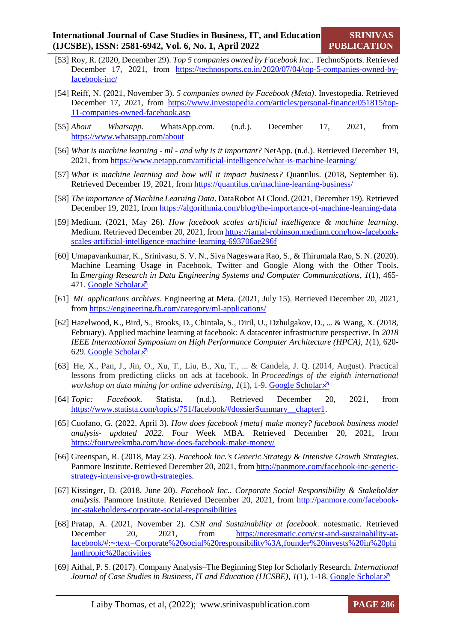- [53] Roy, R. (2020, December 29). *Top 5 companies owned by Facebook Inc..* TechnoSports. Retrieved December 17, 2021, from [https://technosports.co.in/2020/07/04/top-5-companies-owned-by](https://technosports.co.in/2020/07/04/top-5-companies-owned-by-facebook-inc/)[facebook-inc/](https://technosports.co.in/2020/07/04/top-5-companies-owned-by-facebook-inc/)
- [54] Reiff, N. (2021, November 3). *5 companies owned by Facebook (Meta)*. Investopedia. Retrieved December 17, 2021, from [https://www.investopedia.com/articles/personal-finance/051815/top-](https://www.investopedia.com/articles/personal-finance/051815/top-11-companies-owned-facebook.asp)[11-companies-owned-facebook.asp](https://www.investopedia.com/articles/personal-finance/051815/top-11-companies-owned-facebook.asp)
- [55] *About Whatsapp*. WhatsApp.com. (n.d.). December 17, 2021, from <https://www.whatsapp.com/about>
- [56] *What is machine learning - ml - and why is it important?* NetApp. (n.d.). Retrieved December 19, 2021, from<https://www.netapp.com/artificial-intelligence/what-is-machine-learning/>
- [57] *What is machine learning and how will it impact business?* Quantilus. (2018, September 6). Retrieved December 19, 2021, from<https://quantilus.cn/machine-learning-business/>
- [58] *The importance of Machine Learning Data*. DataRobot AI Cloud. (2021, December 19). Retrieved December 19, 2021, from<https://algorithmia.com/blog/the-importance-of-machine-learning-data>
- [59] Medium. (2021, May 26). *How facebook scales artificial intelligence & machine learning*. Medium. Retrieved December 20, 2021, fro[m https://jamal-robinson.medium.com/how-facebook](https://jamal-robinson.medium.com/how-facebook-scales-artificial-intelligence-machine-learning-693706ae296f)[scales-artificial-intelligence-machine-learning-693706ae296f](https://jamal-robinson.medium.com/how-facebook-scales-artificial-intelligence-machine-learning-693706ae296f)
- [60] Umapavankumar, K., Srinivasu, S. V. N., Siva Nageswara Rao, S., & Thirumala Rao, S. N. (2020). Machine Learning Usage in Facebook, Twitter and Google Along with the Other Tools. In *Emerging Research in Data Engineering Systems and Computer Communications*, *1*(1), 465- 471. [Google Scholar](https://scholar.google.com/scholar?hl=en&as_sdt=0%2C5&q=Machine+learning+usage+in+Facebook%2C+twitter+and+Google+along+with+the+other+tools&btnG=) $\lambda$
- [61] *ML applications archives*. Engineering at Meta. (2021, July 15). Retrieved December 20, 2021, from<https://engineering.fb.com/category/ml-applications/>
- [62] Hazelwood, K., Bird, S., Brooks, D., Chintala, S., Diril, U., Dzhulgakov, D., ... & Wang, X. (2018, February). Applied machine learning at facebook: A datacenter infrastructure perspective. In *2018 IEEE International Symposium on High Performance Computer Architecture (HPCA)*, *1*(1), 620- 629. [Google Scholar](https://scholar.google.com/scholar?hl=en&as_sdt=0%2C5&q=Applied+machine+learning+at+facebook%3A+A+datacenter+infrastructure+perspective&btnG=) ×
- [63] He, X., Pan, J., Jin, O., Xu, T., Liu, B., Xu, T., ... & Candela, J. Q. (2014, August). Practical lessons from predicting clicks on ads at facebook. In *Proceedings of the eighth international workshop on data mining for online advertising,*  $1(1)$ *, 1-9. [Google Scholar](https://scholar.google.com/scholar?hl=en&as_sdt=0%2C5&q=Practical+lessons+from+predicting+clicks+on+ads+at+facebook&btnG=)* $\chi$ *<sup>7</sup>*
- [64] *Topic: Facebook*. Statista. (n.d.). Retrieved December 20, 2021, from [https://www.statista.com/topics/751/facebook/#dossierSummary\\_\\_chapter1.](https://www.statista.com/topics/751/facebook/%23dossierSummary__chapter1)
- [65] Cuofano, G. (2022, April 3). *How does facebook [meta] make money? facebook business model analysis- updated 2022*. Four Week MBA. Retrieved December 20, 2021, from <https://fourweekmba.com/how-does-facebook-make-money/>
- [66] Greenspan, R. (2018, May 23). *Facebook Inc.'s Generic Strategy & Intensive Growth Strategies*. Panmore Institute. Retrieved December 20, 2021, from [http://panmore.com/facebook-inc-generic](http://panmore.com/facebook-inc-generic-strategy-intensive-growth-strategies)[strategy-intensive-growth-strategies.](http://panmore.com/facebook-inc-generic-strategy-intensive-growth-strategies)
- [67] Kissinger, D. (2018, June 20). *Facebook Inc.. Corporate Social Responsibility & Stakeholder analysis*. Panmore Institute. Retrieved December 20, 2021, from [http://panmore.com/facebook](http://panmore.com/facebook-inc-stakeholders-corporate-social-responsibilities)[inc-stakeholders-corporate-social-responsibilities](http://panmore.com/facebook-inc-stakeholders-corporate-social-responsibilities)
- [68] Pratap, A. (2021, November 2). *CSR and Sustainability at facebook*. notesmatic. Retrieved December 20, 2021, from [https://notesmatic.com/csr-and-sustainability-at](https://notesmatic.com/csr-and-sustainability-at-facebook/%23:~:text=Corporate%20social%20responsibility%3A,founder%20invests%20in%20philanthropic%20activities)[facebook/#:~:text=Corporate%20social%20responsibility%3A,founder%20invests%20in%20phi](https://notesmatic.com/csr-and-sustainability-at-facebook/%23:~:text=Corporate%20social%20responsibility%3A,founder%20invests%20in%20philanthropic%20activities) [lanthropic%20activities](https://notesmatic.com/csr-and-sustainability-at-facebook/%23:~:text=Corporate%20social%20responsibility%3A,founder%20invests%20in%20philanthropic%20activities)
- [69] Aithal, P. S. (2017). Company Analysis–The Beginning Step for Scholarly Research. *International Journal of Case Studies in Business, IT and Education (IJCSBE), 1(1), 1-18. [Google Scholar](https://scholar.google.com/scholar?hl=en&as_sdt=0%2C5&q=Company+analysis+%E2%80%93+the+beginning+step+for+scholarly+research&btnG=)*  $\lambda$